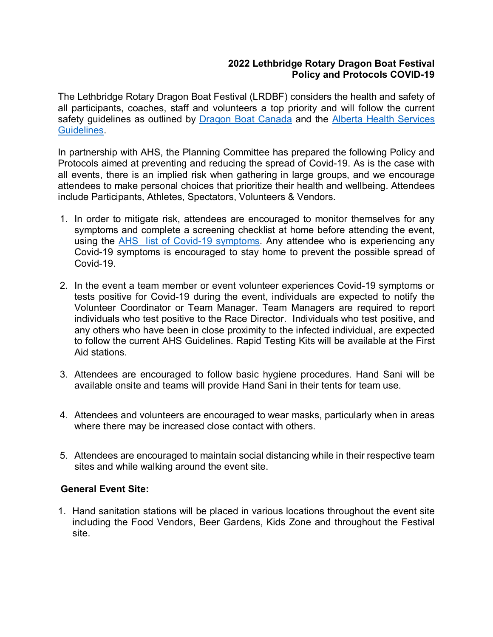## **2022 Lethbridge Rotary Dragon Boat Festival Policy and Protocols COVID-19**

The Lethbridge Rotary Dragon Boat Festival (LRDBF) considers the health and safety of all participants, coaches, staff and volunteers a top priority and will follow the current safety guidelines as outlined by [Dragon Boat Canada](https://dragonboat.ca/return-to-dragon-boat-statement-march-2022/) and the Alberta Health Services [Guidelines.](https://www.albertahealthservices.ca/topics/Page17250.aspx)

In partnership with AHS, the Planning Committee has prepared the following Policy and Protocols aimed at preventing and reducing the spread of Covid-19. As is the case with all events, there is an implied risk when gathering in large groups, and we encourage attendees to make personal choices that prioritize their health and wellbeing. Attendees include Participants, Athletes, Spectators, Volunteers & Vendors.

- 1. In order to mitigate risk, attendees are encouraged to monitor themselves for any symptoms and complete a screening checklist at home before attending the event, using the [AHS list of Covid-19 symptoms.](https://www.albertahealthservices.ca/topics/Page17260.aspx) Any attendee who is experiencing any Covid-19 symptoms is encouraged to stay home to prevent the possible spread of Covid-19.
- 2. In the event a team member or event volunteer experiences Covid-19 symptoms or tests positive for Covid-19 during the event, individuals are expected to notify the Volunteer Coordinator or Team Manager. Team Managers are required to report individuals who test positive to the Race Director. Individuals who test positive, and any others who have been in close proximity to the infected individual, are expected to follow the current AHS Guidelines. Rapid Testing Kits will be available at the First Aid stations.
- 3. Attendees are encouraged to follow basic hygiene procedures. Hand Sani will be available onsite and teams will provide Hand Sani in their tents for team use.
- 4. Attendees and volunteers are encouraged to wear masks, particularly when in areas where there may be increased close contact with others.
- 5. Attendees are encouraged to maintain social distancing while in their respective team sites and while walking around the event site.

## **General Event Site:**

1. Hand sanitation stations will be placed in various locations throughout the event site including the Food Vendors, Beer Gardens, Kids Zone and throughout the Festival site.